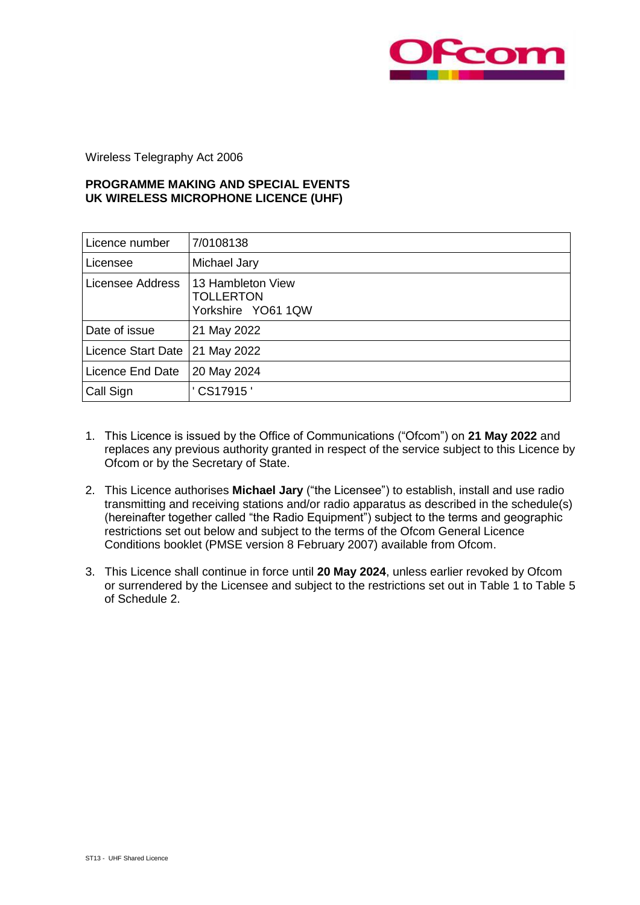

Wireless Telegraphy Act 2006

## **PROGRAMME MAKING AND SPECIAL EVENTS UK WIRELESS MICROPHONE LICENCE (UHF)**

| Licence number     | 7/0108138                                                   |
|--------------------|-------------------------------------------------------------|
| Licensee           | Michael Jary                                                |
| Licensee Address   | 13 Hambleton View<br><b>TOLLERTON</b><br>Yorkshire YO61 1QW |
| Date of issue      | 21 May 2022                                                 |
| Licence Start Date | 21 May 2022                                                 |
| Licence End Date   | 20 May 2024                                                 |
| Call Sign          | CS17915'                                                    |

- 1. This Licence is issued by the Office of Communications ("Ofcom") on **21 May 2022** and replaces any previous authority granted in respect of the service subject to this Licence by Ofcom or by the Secretary of State.
- 2. This Licence authorises **Michael Jary** ("the Licensee") to establish, install and use radio transmitting and receiving stations and/or radio apparatus as described in the schedule(s) (hereinafter together called "the Radio Equipment") subject to the terms and geographic restrictions set out below and subject to the terms of the Ofcom General Licence Conditions booklet (PMSE version 8 February 2007) available from Ofcom.
- 3. This Licence shall continue in force until **20 May 2024**, unless earlier revoked by Ofcom or surrendered by the Licensee and subject to the restrictions set out in Table 1 to Table 5 of Schedule 2.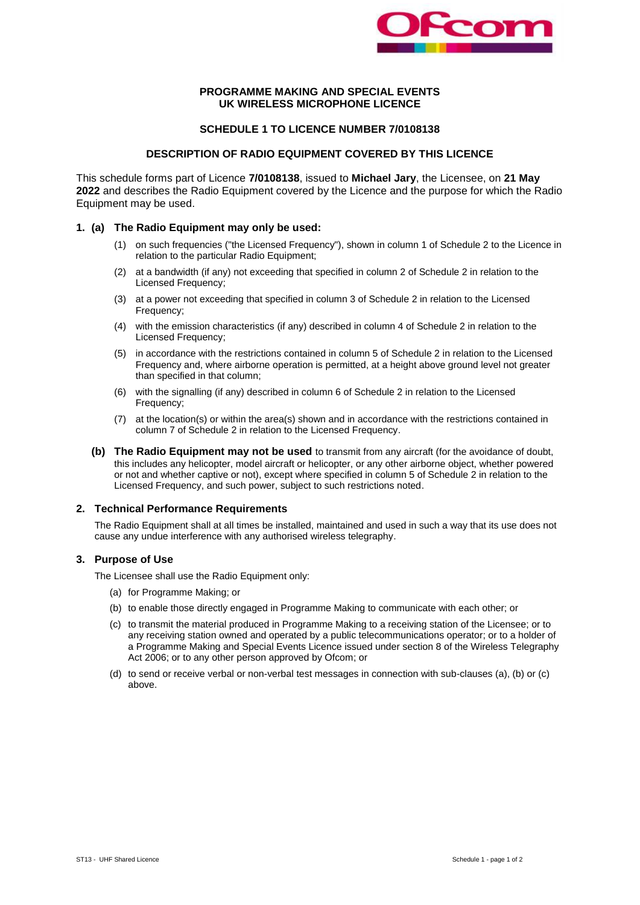

#### **PROGRAMME MAKING AND SPECIAL EVENTS UK WIRELESS MICROPHONE LICENCE**

#### **SCHEDULE 1 TO LICENCE NUMBER 7/0108138**

#### **DESCRIPTION OF RADIO EQUIPMENT COVERED BY THIS LICENCE**

This schedule forms part of Licence **7/0108138**, issued to **Michael Jary**, the Licensee, on **21 May 2022** and describes the Radio Equipment covered by the Licence and the purpose for which the Radio Equipment may be used.

#### **1. (a) The Radio Equipment may only be used:**

- (1) on such frequencies ("the Licensed Frequency"), shown in column 1 of Schedule 2 to the Licence in relation to the particular Radio Equipment;
- (2) at a bandwidth (if any) not exceeding that specified in column 2 of Schedule 2 in relation to the Licensed Frequency;
- (3) at a power not exceeding that specified in column 3 of Schedule 2 in relation to the Licensed Frequency;
- (4) with the emission characteristics (if any) described in column 4 of Schedule 2 in relation to the Licensed Frequency;
- (5) in accordance with the restrictions contained in column 5 of Schedule 2 in relation to the Licensed Frequency and, where airborne operation is permitted, at a height above ground level not greater than specified in that column;
- (6) with the signalling (if any) described in column 6 of Schedule 2 in relation to the Licensed Frequency;
- (7) at the location(s) or within the area(s) shown and in accordance with the restrictions contained in column 7 of Schedule 2 in relation to the Licensed Frequency.
- **(b) The Radio Equipment may not be used** to transmit from any aircraft (for the avoidance of doubt, this includes any helicopter, model aircraft or helicopter, or any other airborne object, whether powered or not and whether captive or not), except where specified in column 5 of Schedule 2 in relation to the Licensed Frequency, and such power, subject to such restrictions noted.

#### **2. Technical Performance Requirements**

The Radio Equipment shall at all times be installed, maintained and used in such a way that its use does not cause any undue interference with any authorised wireless telegraphy.

#### **3. Purpose of Use**

The Licensee shall use the Radio Equipment only:

- (a) for Programme Making; or
- (b) to enable those directly engaged in Programme Making to communicate with each other; or
- (c) to transmit the material produced in Programme Making to a receiving station of the Licensee; or to any receiving station owned and operated by a public telecommunications operator; or to a holder of a Programme Making and Special Events Licence issued under section 8 of the Wireless Telegraphy Act 2006; or to any other person approved by Ofcom; or
- (d) to send or receive verbal or non-verbal test messages in connection with sub-clauses (a), (b) or (c) above.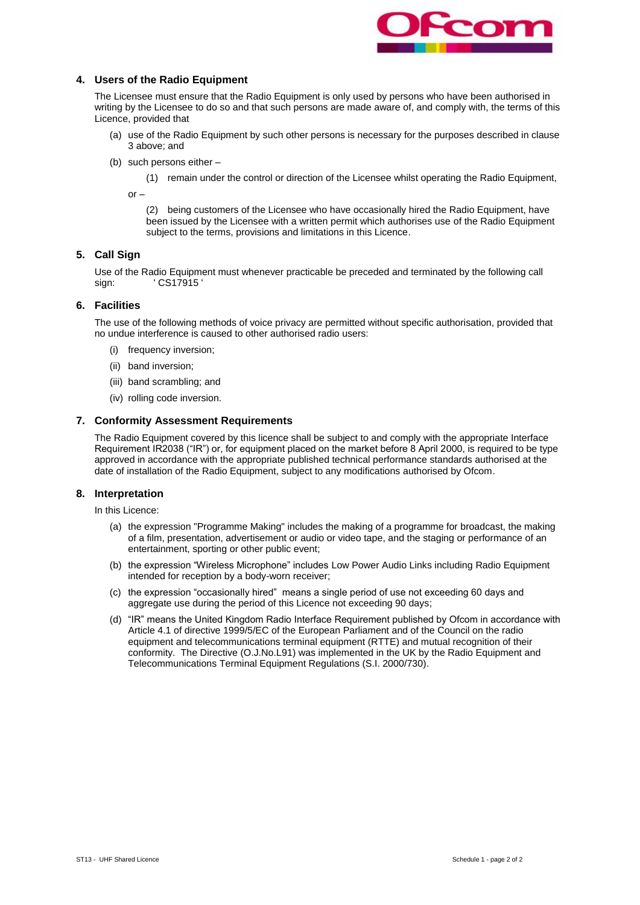

### **4. Users of the Radio Equipment**

The Licensee must ensure that the Radio Equipment is only used by persons who have been authorised in writing by the Licensee to do so and that such persons are made aware of, and comply with, the terms of this Licence, provided that

- (a) use of the Radio Equipment by such other persons is necessary for the purposes described in clause 3 above; and
- (b) such persons either –

(1) remain under the control or direction of the Licensee whilst operating the Radio Equipment,

 $or -$ 

(2) being customers of the Licensee who have occasionally hired the Radio Equipment, have been issued by the Licensee with a written permit which authorises use of the Radio Equipment subject to the terms, provisions and limitations in this Licence.

## **5. Call Sign**

Use of the Radio Equipment must whenever practicable be preceded and terminated by the following call sign: ' CS17915'

#### **6. Facilities**

The use of the following methods of voice privacy are permitted without specific authorisation, provided that no undue interference is caused to other authorised radio users:

- (i) frequency inversion;
- (ii) band inversion;
- (iii) band scrambling; and
- (iv) rolling code inversion.

#### **7. Conformity Assessment Requirements**

The Radio Equipment covered by this licence shall be subject to and comply with the appropriate Interface Requirement IR2038 ("IR") or, for equipment placed on the market before 8 April 2000, is required to be type approved in accordance with the appropriate published technical performance standards authorised at the date of installation of the Radio Equipment, subject to any modifications authorised by Ofcom.

#### **8. Interpretation**

In this Licence:

- (a) the expression "Programme Making" includes the making of a programme for broadcast, the making of a film, presentation, advertisement or audio or video tape, and the staging or performance of an entertainment, sporting or other public event;
- (b) the expression "Wireless Microphone" includes Low Power Audio Links including Radio Equipment intended for reception by a body-worn receiver;
- (c) the expression "occasionally hired" means a single period of use not exceeding 60 days and aggregate use during the period of this Licence not exceeding 90 days;
- (d) "IR" means the United Kingdom Radio Interface Requirement published by Ofcom in accordance with Article 4.1 of directive 1999/5/EC of the European Parliament and of the Council on the radio equipment and telecommunications terminal equipment (RTTE) and mutual recognition of their conformity. The Directive (O.J.No.L91) was implemented in the UK by the Radio Equipment and Telecommunications Terminal Equipment Regulations (S.I. 2000/730).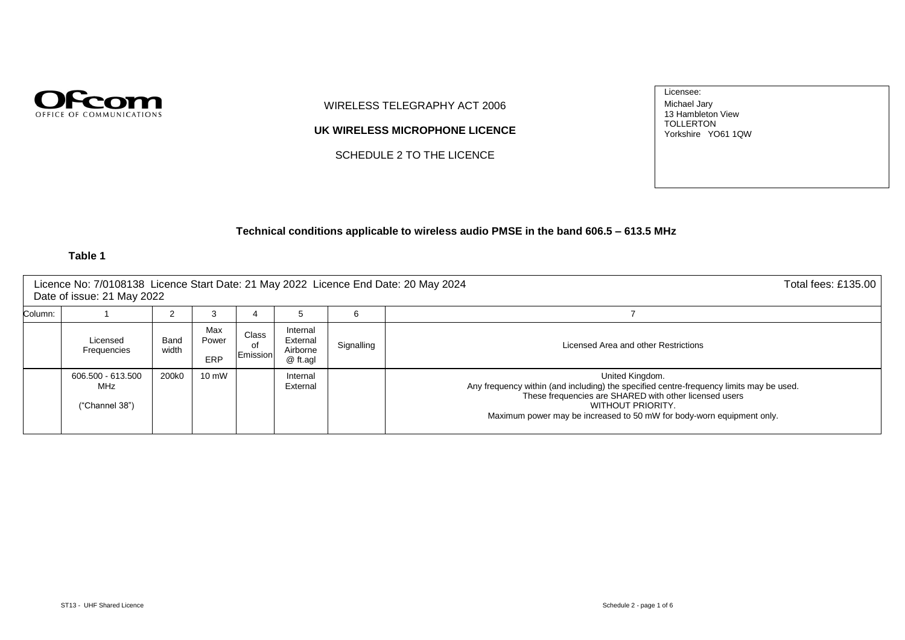

WIRELESS TELEGRAPHY ACT 2006

**UK WIRELESS MICROPHONE LICENCE**

SCHEDULE 2 TO THE LICENCE

Licensee: Michael Jary 13 Hambleton View TOLLERTON Yorkshire YO61 1QW

## **Technical conditions applicable to wireless audio PMSE in the band 606.5 – 613.5 MHz**

|         | Licence No: 7/0108138 Licence Start Date: 21 May 2022 Licence End Date: 20 May 2024<br>Date of issue: 21 May 2022 |               |                     |                         |                                              |            |                                                                                                                                                                                                                                                                    |  |  |  |
|---------|-------------------------------------------------------------------------------------------------------------------|---------------|---------------------|-------------------------|----------------------------------------------|------------|--------------------------------------------------------------------------------------------------------------------------------------------------------------------------------------------------------------------------------------------------------------------|--|--|--|
| Column: |                                                                                                                   |               | 3                   | 4                       | 5                                            | 6          |                                                                                                                                                                                                                                                                    |  |  |  |
|         | Licensed<br>Frequencies                                                                                           | Band<br>width | Max<br>Power<br>ERP | Class<br>of<br>Emission | Internal<br>External<br>Airborne<br>@ ft.agl | Signalling | Licensed Area and other Restrictions                                                                                                                                                                                                                               |  |  |  |
|         | 606.500 - 613.500<br>MHz<br>("Channel 38")                                                                        | 200k0         | $10 \text{ mW}$     |                         | Internal<br>External                         |            | United Kingdom.<br>Any frequency within (and including) the specified centre-frequency limits may be used.<br>These frequencies are SHARED with other licensed users<br>WITHOUT PRIORITY.<br>Maximum power may be increased to 50 mW for body-worn equipment only. |  |  |  |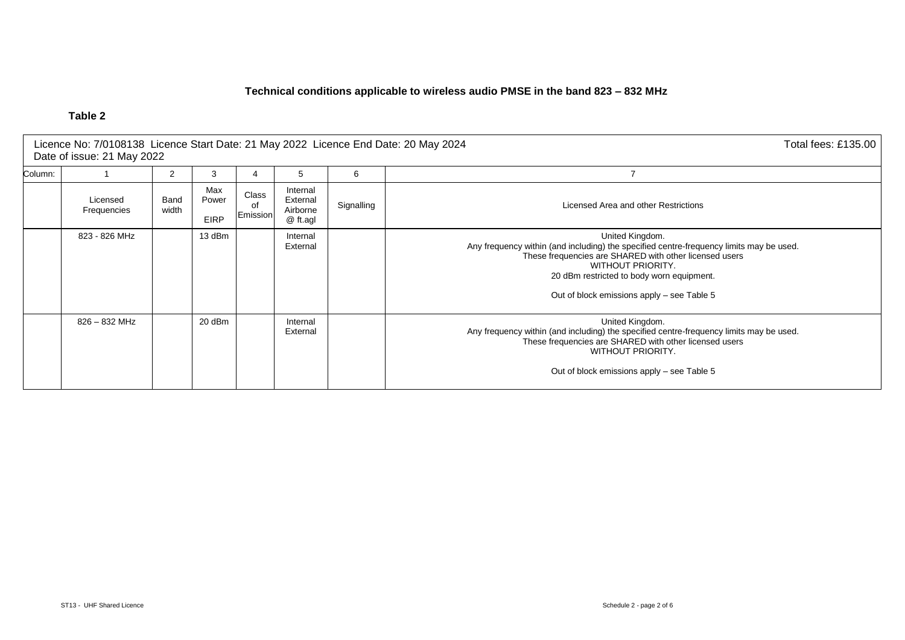## **Technical conditions applicable to wireless audio PMSE in the band 823 – 832 MHz**

| Licence No: 7/0108138 Licence Start Date: 21 May 2022 Licence End Date: 20 May 2024<br>Total fees: £135.00  <br>Date of issue: 21 May 2022 |                                                                                                                                                    |  |  |                                                                                                                                                                                                                                                |            |                                                                                                                                                                                                                                                                                      |  |
|--------------------------------------------------------------------------------------------------------------------------------------------|----------------------------------------------------------------------------------------------------------------------------------------------------|--|--|------------------------------------------------------------------------------------------------------------------------------------------------------------------------------------------------------------------------------------------------|------------|--------------------------------------------------------------------------------------------------------------------------------------------------------------------------------------------------------------------------------------------------------------------------------------|--|
| Column:<br>6<br>2<br>3<br>5<br>4                                                                                                           |                                                                                                                                                    |  |  |                                                                                                                                                                                                                                                |            |                                                                                                                                                                                                                                                                                      |  |
|                                                                                                                                            | Max<br>Internal<br>Class<br>Band<br>Licensed<br>Power<br>External<br>0f<br>Airborne<br>width<br>Frequencies<br>Emission<br><b>EIRP</b><br>@ ft.agl |  |  |                                                                                                                                                                                                                                                | Signalling | Licensed Area and other Restrictions                                                                                                                                                                                                                                                 |  |
|                                                                                                                                            | 823 - 826 MHz<br>13 dBm<br>Internal<br>External<br>$826 - 832$ MHz<br>20 dBm<br>Internal<br>External                                               |  |  |                                                                                                                                                                                                                                                |            | United Kingdom.<br>Any frequency within (and including) the specified centre-frequency limits may be used.<br>These frequencies are SHARED with other licensed users<br>WITHOUT PRIORITY.<br>20 dBm restricted to body worn equipment.<br>Out of block emissions apply – see Table 5 |  |
|                                                                                                                                            |                                                                                                                                                    |  |  | United Kingdom.<br>Any frequency within (and including) the specified centre-frequency limits may be used.<br>These frequencies are SHARED with other licensed users<br><b>WITHOUT PRIORITY.</b><br>Out of block emissions apply – see Table 5 |            |                                                                                                                                                                                                                                                                                      |  |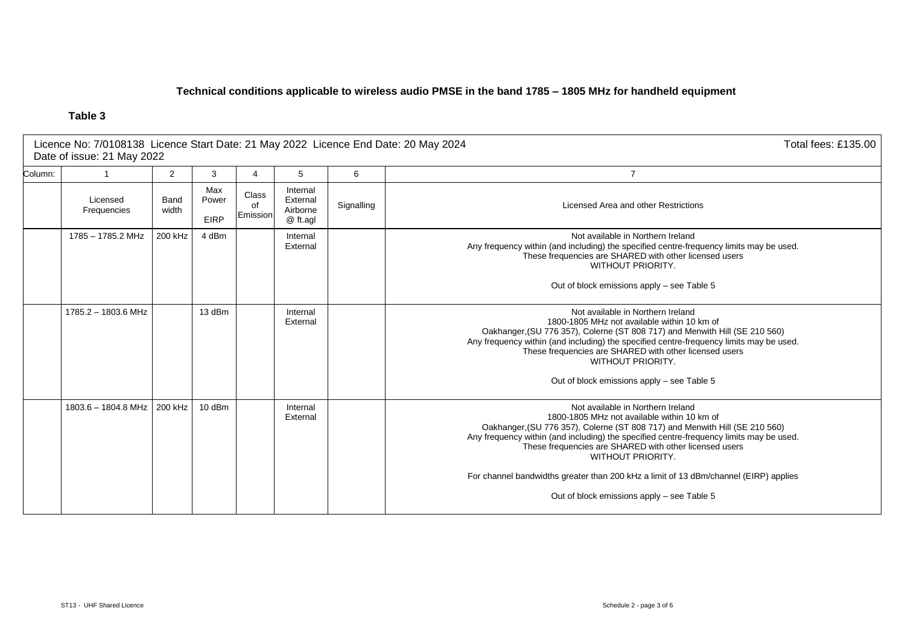## **Technical conditions applicable to wireless audio PMSE in the band 1785 – 1805 MHz for handheld equipment**

|         | Licence No: 7/0108138 Licence Start Date: 21 May 2022 Licence End Date: 20 May 2024<br>Total fees: £135.00<br>Date of issue: 21 May 2022 |                |                             |                         |                                              |            |                                                                                                                                                                                                                                                                                                                                                                                                                                                                                        |  |  |
|---------|------------------------------------------------------------------------------------------------------------------------------------------|----------------|-----------------------------|-------------------------|----------------------------------------------|------------|----------------------------------------------------------------------------------------------------------------------------------------------------------------------------------------------------------------------------------------------------------------------------------------------------------------------------------------------------------------------------------------------------------------------------------------------------------------------------------------|--|--|
| Column: |                                                                                                                                          | $\overline{2}$ | 3                           | 4                       | 5                                            | 6          | $\overline{7}$                                                                                                                                                                                                                                                                                                                                                                                                                                                                         |  |  |
|         | Licensed<br>Frequencies                                                                                                                  | Band<br>width  | Max<br>Power<br><b>EIRP</b> | Class<br>of<br>Emission | Internal<br>External<br>Airborne<br>@ ft.agl | Signalling | Licensed Area and other Restrictions                                                                                                                                                                                                                                                                                                                                                                                                                                                   |  |  |
|         | 1785 - 1785.2 MHz                                                                                                                        | 200 kHz        | 4 dBm                       |                         | Internal<br>External                         |            | Not available in Northern Ireland<br>Any frequency within (and including) the specified centre-frequency limits may be used.<br>These frequencies are SHARED with other licensed users<br><b>WITHOUT PRIORITY.</b><br>Out of block emissions apply – see Table 5                                                                                                                                                                                                                       |  |  |
|         | 1785.2 - 1803.6 MHz                                                                                                                      |                | 13 dBm                      |                         | Internal<br>External                         |            | Not available in Northern Ireland<br>1800-1805 MHz not available within 10 km of<br>Oakhanger, (SU 776 357), Colerne (ST 808 717) and Menwith Hill (SE 210 560)<br>Any frequency within (and including) the specified centre-frequency limits may be used.<br>These frequencies are SHARED with other licensed users<br><b>WITHOUT PRIORITY.</b><br>Out of block emissions apply – see Table 5                                                                                         |  |  |
|         | 1803.6 - 1804.8 MHz                                                                                                                      | 200 kHz        | $10$ dBm                    |                         | Internal<br>External                         |            | Not available in Northern Ireland<br>1800-1805 MHz not available within 10 km of<br>Oakhanger, (SU 776 357), Colerne (ST 808 717) and Menwith Hill (SE 210 560)<br>Any frequency within (and including) the specified centre-frequency limits may be used.<br>These frequencies are SHARED with other licensed users<br><b>WITHOUT PRIORITY.</b><br>For channel bandwidths greater than 200 kHz a limit of 13 dBm/channel (EIRP) applies<br>Out of block emissions apply – see Table 5 |  |  |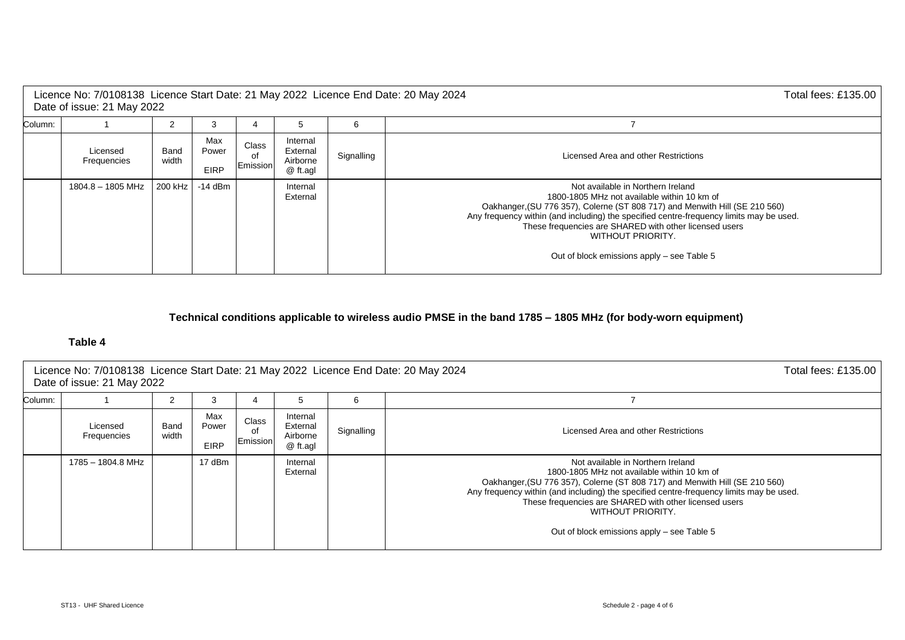|                                                                                                                                                                         | Licence No: 7/0108138 Licence Start Date: 21 May 2022 Licence End Date: 20 May 2024<br>Total fees: £135.00<br>Date of issue: 21 May 2022 |         |           |                                      |                      |   |                                                                                                                                                                                                                                                                                                                                                                                                |  |
|-------------------------------------------------------------------------------------------------------------------------------------------------------------------------|------------------------------------------------------------------------------------------------------------------------------------------|---------|-----------|--------------------------------------|----------------------|---|------------------------------------------------------------------------------------------------------------------------------------------------------------------------------------------------------------------------------------------------------------------------------------------------------------------------------------------------------------------------------------------------|--|
| Column:                                                                                                                                                                 |                                                                                                                                          |         | 3         |                                      | 5                    | 6 |                                                                                                                                                                                                                                                                                                                                                                                                |  |
| Max<br>Internal<br><b>Class</b><br>Power<br>External<br>Licensed<br>Band<br>Signalling<br>οf<br>width<br>Airborne<br>Frequencies<br>Emission<br><b>EIRP</b><br>@ ft.agl |                                                                                                                                          |         |           | Licensed Area and other Restrictions |                      |   |                                                                                                                                                                                                                                                                                                                                                                                                |  |
|                                                                                                                                                                         | 1804.8 - 1805 MHz                                                                                                                        | 200 kHz | $-14$ dBm |                                      | Internal<br>External |   | Not available in Northern Ireland<br>1800-1805 MHz not available within 10 km of<br>Oakhanger, (SU 776 357), Colerne (ST 808 717) and Menwith Hill (SE 210 560)<br>Any frequency within (and including) the specified centre-frequency limits may be used.<br>These frequencies are SHARED with other licensed users<br><b>WITHOUT PRIORITY.</b><br>Out of block emissions apply – see Table 5 |  |

# **Technical conditions applicable to wireless audio PMSE in the band 1785 – 1805 MHz (for body-worn equipment)**

| Total fees: £135.00<br>Licence No: 7/0108138 Licence Start Date: 21 May 2022 Licence End Date: 20 May 2024<br>Date of issue: 21 May 2022 |                         |               |                             |                         |                                              |            |                                                                                                                                                                                                                                                                                                                                                                                                |
|------------------------------------------------------------------------------------------------------------------------------------------|-------------------------|---------------|-----------------------------|-------------------------|----------------------------------------------|------------|------------------------------------------------------------------------------------------------------------------------------------------------------------------------------------------------------------------------------------------------------------------------------------------------------------------------------------------------------------------------------------------------|
| Column:                                                                                                                                  |                         | 2             | 3                           |                         | 5                                            | 6          |                                                                                                                                                                                                                                                                                                                                                                                                |
|                                                                                                                                          | Licensed<br>Frequencies | Band<br>width | Max<br>Power<br><b>EIRP</b> | Class<br>of<br>Emission | Internal<br>External<br>Airborne<br>@ ft.agl | Signalling | Licensed Area and other Restrictions                                                                                                                                                                                                                                                                                                                                                           |
|                                                                                                                                          | 1785 - 1804.8 MHz       |               | 17 dBm                      |                         | Internal<br>External                         |            | Not available in Northern Ireland<br>1800-1805 MHz not available within 10 km of<br>Oakhanger, (SU 776 357), Colerne (ST 808 717) and Menwith Hill (SE 210 560)<br>Any frequency within (and including) the specified centre-frequency limits may be used.<br>These frequencies are SHARED with other licensed users<br><b>WITHOUT PRIORITY.</b><br>Out of block emissions apply – see Table 5 |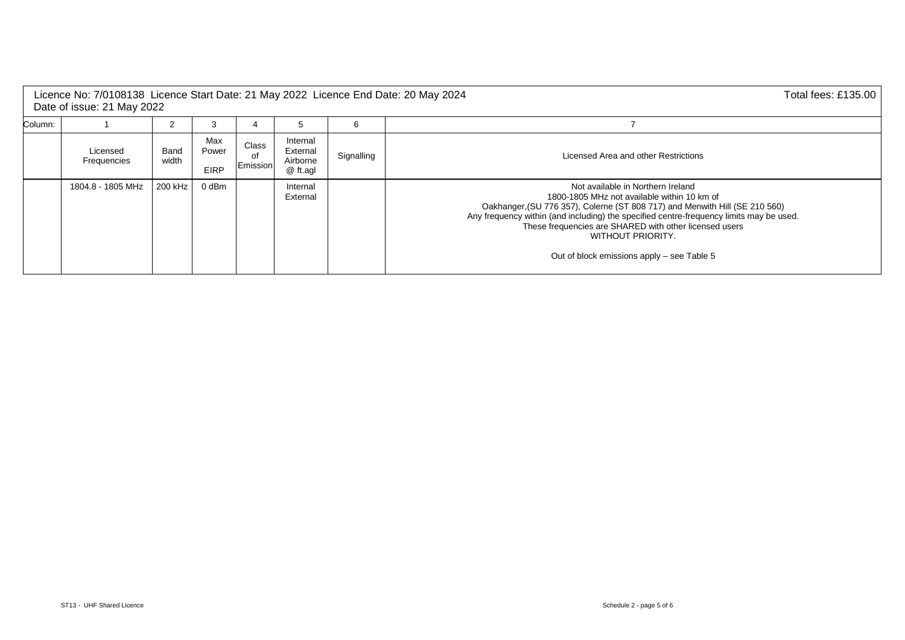| Licence No: 7/0108138 Licence Start Date: 21 May 2022 Licence End Date: 20 May 2024<br>Total fees: £135.00  <br>Date of issue: 21 May 2022 |                         |               |                             |                         |                                              |            |                                                                                                                                                                                                                                                                                                                                                                                                |  |  |
|--------------------------------------------------------------------------------------------------------------------------------------------|-------------------------|---------------|-----------------------------|-------------------------|----------------------------------------------|------------|------------------------------------------------------------------------------------------------------------------------------------------------------------------------------------------------------------------------------------------------------------------------------------------------------------------------------------------------------------------------------------------------|--|--|
| Column:                                                                                                                                    |                         |               |                             |                         |                                              |            |                                                                                                                                                                                                                                                                                                                                                                                                |  |  |
|                                                                                                                                            | Licensed<br>Frequencies | Band<br>width | Max<br>Power<br><b>EIRP</b> | Class<br>0f<br>Emission | Internal<br>External<br>Airborne<br>@ ft.agl | Signalling | Licensed Area and other Restrictions                                                                                                                                                                                                                                                                                                                                                           |  |  |
|                                                                                                                                            | 1804.8 - 1805 MHz       | 200 kHz       | 0 dBm                       |                         | Internal<br>External                         |            | Not available in Northern Ireland<br>1800-1805 MHz not available within 10 km of<br>Oakhanger, (SU 776 357), Colerne (ST 808 717) and Menwith Hill (SE 210 560)<br>Any frequency within (and including) the specified centre-frequency limits may be used.<br>These frequencies are SHARED with other licensed users<br><b>WITHOUT PRIORITY.</b><br>Out of block emissions apply – see Table 5 |  |  |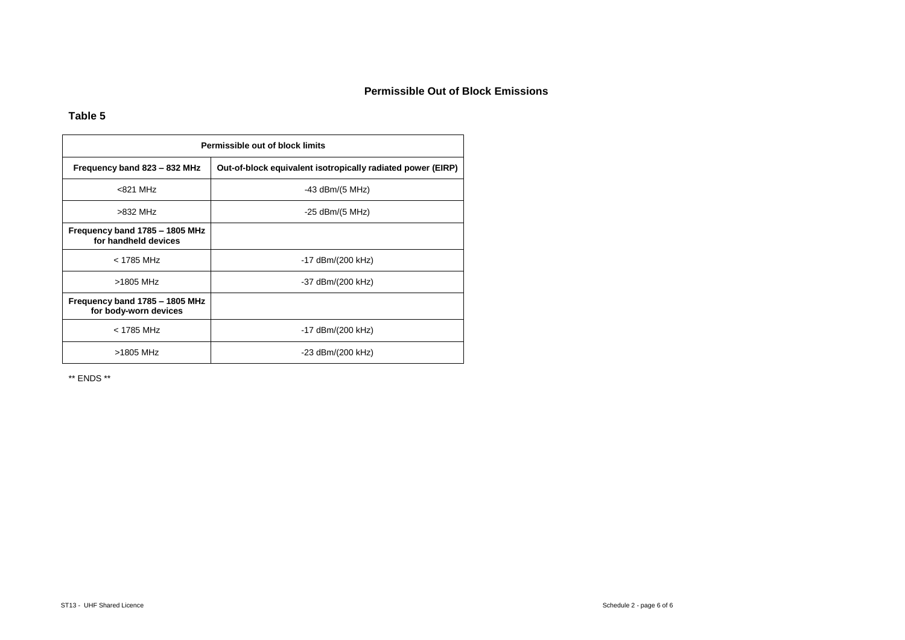## **Permissible Out of Block Emissions**

## **Table 5**

| Permissible out of block limits                         |                                                             |  |  |  |  |  |  |
|---------------------------------------------------------|-------------------------------------------------------------|--|--|--|--|--|--|
| Frequency band 823 - 832 MHz                            | Out-of-block equivalent isotropically radiated power (EIRP) |  |  |  |  |  |  |
| $< 821$ MHz                                             | $-43$ dBm/(5 MHz)                                           |  |  |  |  |  |  |
| $>832$ MHz                                              | $-25$ dBm/(5 MHz)                                           |  |  |  |  |  |  |
| Frequency band 1785 - 1805 MHz<br>for handheld devices  |                                                             |  |  |  |  |  |  |
| $<$ 1785 MHz                                            | -17 dBm/(200 kHz)                                           |  |  |  |  |  |  |
| >1805 MHz                                               | -37 dBm/(200 kHz)                                           |  |  |  |  |  |  |
| Frequency band 1785 - 1805 MHz<br>for body-worn devices |                                                             |  |  |  |  |  |  |
| $<$ 1785 MHz                                            | -17 dBm/(200 kHz)                                           |  |  |  |  |  |  |
| >1805 MHz                                               | -23 dBm/(200 kHz)                                           |  |  |  |  |  |  |

\*\* ENDS \*\*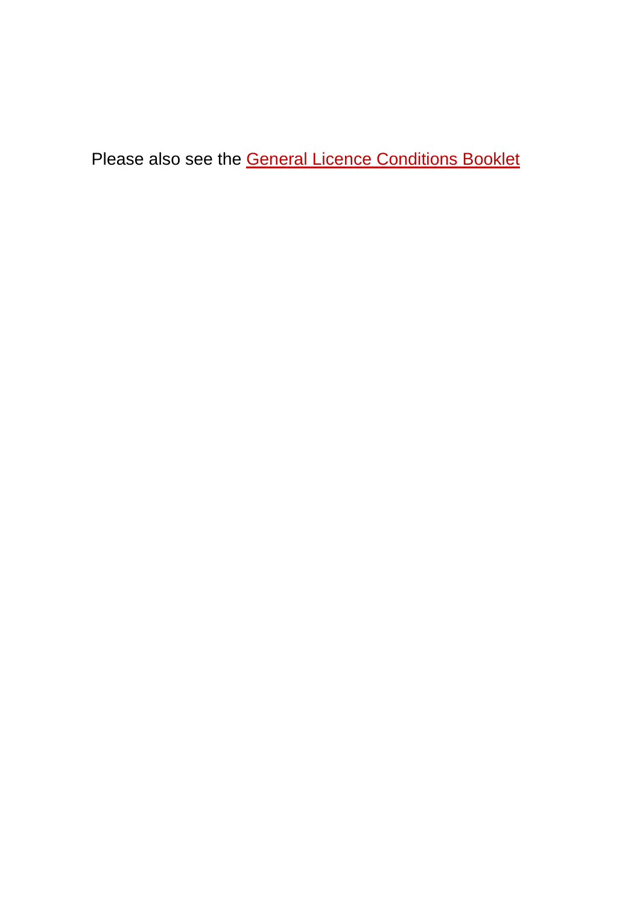Please also see the **General Licence [Conditions](https://pmse.ofcom.org.uk/pmse/docs/pmse_general_licence_conditions.pdf) Booklet**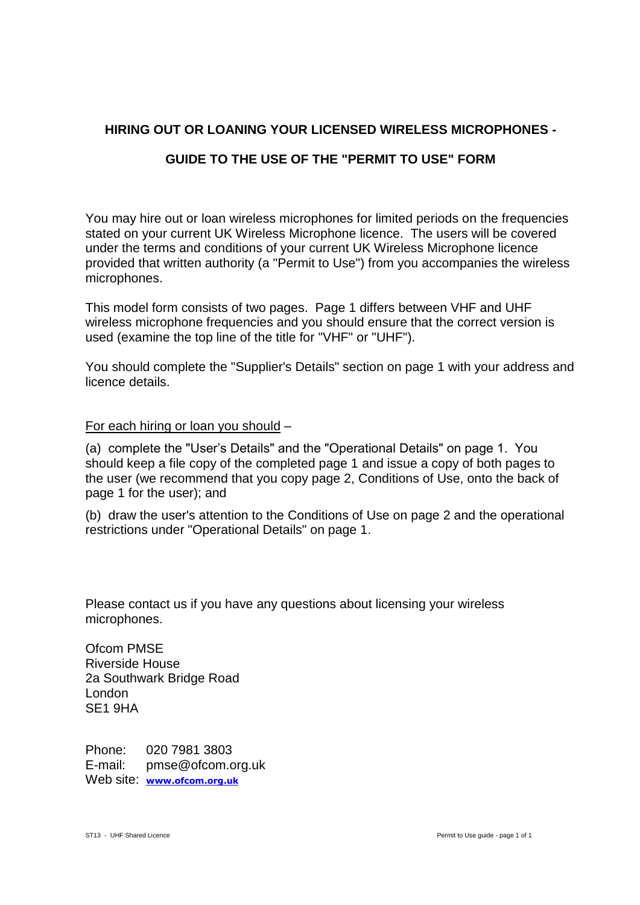# **HIRING OUT OR LOANING YOUR LICENSED WIRELESS MICROPHONES -**

# **GUIDE TO THE USE OF THE "PERMIT TO USE" FORM**

You may hire out or loan wireless microphones for limited periods on the frequencies stated on your current UK Wireless Microphone licence. The users will be covered under the terms and conditions of your current UK Wireless Microphone licence provided that written authority (a "Permit to Use") from you accompanies the wireless microphones.

This model form consists of two pages. Page 1 differs between VHF and UHF wireless microphone frequencies and you should ensure that the correct version is used (examine the top line of the title for "VHF" or "UHF").

You should complete the "Supplier's Details" section on page 1 with your address and licence details.

For each hiring or loan you should –

(a) complete the "User's Details" and the "Operational Details" on page 1. You should keep a file copy of the completed page 1 and issue a copy of both pages to the user (we recommend that you copy page 2, Conditions of Use, onto the back of page 1 for the user); and

(b) draw the user's attention to the Conditions of Use on page 2 and the operational restrictions under "Operational Details" on page 1.

Please contact us if you have any questions about licensing your wireless microphones.

Ofcom PMSE Riverside House 2a Southwark Bridge Road London SE1 9HA

Phone: 020 7981 3803 E-mail: pmse@ofcom.org.uk Web site: **www.ofcom.org.uk**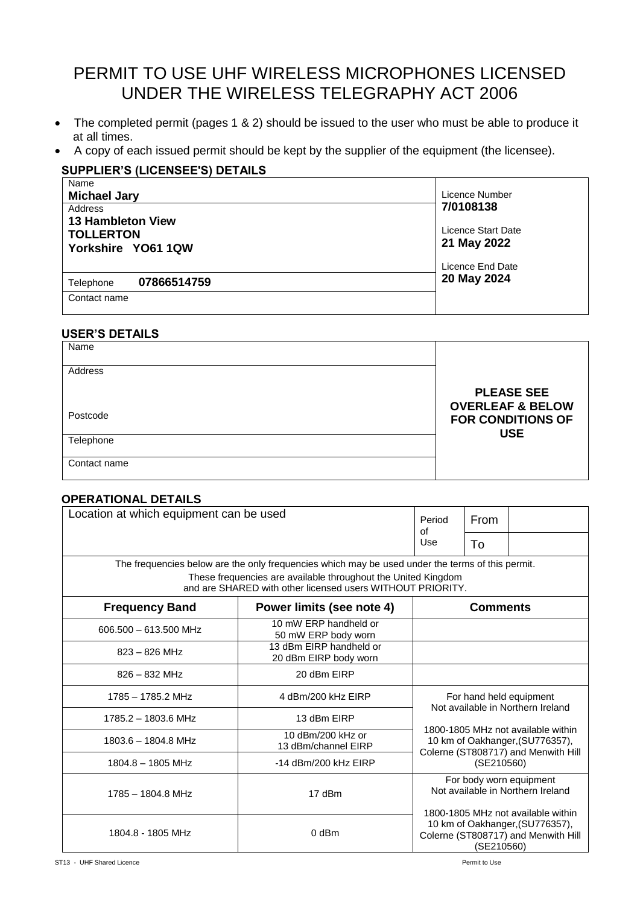# PERMIT TO USE UHF WIRELESS MICROPHONES LICENSED UNDER THE WIRELESS TELEGRAPHY ACT 2006

- The completed permit (pages 1 & 2) should be issued to the user who must be able to produce it at all times.
- A copy of each issued permit should be kept by the supplier of the equipment (the licensee).

# **SUPPLIER'S (LICENSEE'S) DETAILS**

| Licence Number                    |
|-----------------------------------|
| 7/0108138                         |
| Licence Start Date<br>21 May 2022 |
| Licence End Date                  |
| 20 May 2024                       |
|                                   |
|                                   |

## **USER'S DETAILS**

| Name         |                                                  |
|--------------|--------------------------------------------------|
| Address      |                                                  |
|              | <b>PLEASE SEE</b><br><b>OVERLEAF &amp; BELOW</b> |
| Postcode     | <b>FOR CONDITIONS OF</b><br><b>USE</b>           |
| Telephone    |                                                  |
| Contact name |                                                  |

## **OPERATIONAL DETAILS**

| Location at which equipment can be used                                                                                                                        | Period<br>Ωf                                                  | From                                                                                                                                                                                       |                 |  |  |
|----------------------------------------------------------------------------------------------------------------------------------------------------------------|---------------------------------------------------------------|--------------------------------------------------------------------------------------------------------------------------------------------------------------------------------------------|-----------------|--|--|
|                                                                                                                                                                | Use                                                           | Τo                                                                                                                                                                                         |                 |  |  |
| The frequencies below are the only frequencies which may be used under the terms of this permit.<br>and are SHARED with other licensed users WITHOUT PRIORITY. | These frequencies are available throughout the United Kingdom |                                                                                                                                                                                            |                 |  |  |
| <b>Frequency Band</b>                                                                                                                                          | Power limits (see note 4)                                     |                                                                                                                                                                                            | <b>Comments</b> |  |  |
| 606.500 - 613.500 MHz                                                                                                                                          | 10 mW ERP handheld or<br>50 mW ERP body worn                  |                                                                                                                                                                                            |                 |  |  |
| $823 - 826$ MHz                                                                                                                                                | 13 dBm EIRP handheld or<br>20 dBm EIRP body worn              |                                                                                                                                                                                            |                 |  |  |
| $826 - 832$ MHz                                                                                                                                                | 20 dBm EIRP                                                   |                                                                                                                                                                                            |                 |  |  |
| 1785 - 1785.2 MHz                                                                                                                                              | 4 dBm/200 kHz EIRP                                            | For hand held equipment<br>Not available in Northern Ireland                                                                                                                               |                 |  |  |
| 1785.2 - 1803.6 MHz                                                                                                                                            | 13 dBm EIRP                                                   |                                                                                                                                                                                            |                 |  |  |
| 1803.6 - 1804.8 MHz                                                                                                                                            | 10 dBm/200 kHz or<br>13 dBm/channel EIRP                      | 1800-1805 MHz not available within<br>10 km of Oakhanger, (SU776357),<br>Colerne (ST808717) and Menwith Hill                                                                               |                 |  |  |
| $1804.8 - 1805$ MHz                                                                                                                                            | $-14$ dBm/200 kHz EIRP                                        | (SE210560)                                                                                                                                                                                 |                 |  |  |
| $1785 - 1804.8$ MHz                                                                                                                                            | 17 dBm                                                        | For body worn equipment<br>Not available in Northern Ireland<br>1800-1805 MHz not available within<br>10 km of Oakhanger, (SU776357),<br>Colerne (ST808717) and Menwith Hill<br>(SE210560) |                 |  |  |
| 1804.8 - 1805 MHz                                                                                                                                              | $0$ dBm                                                       |                                                                                                                                                                                            |                 |  |  |